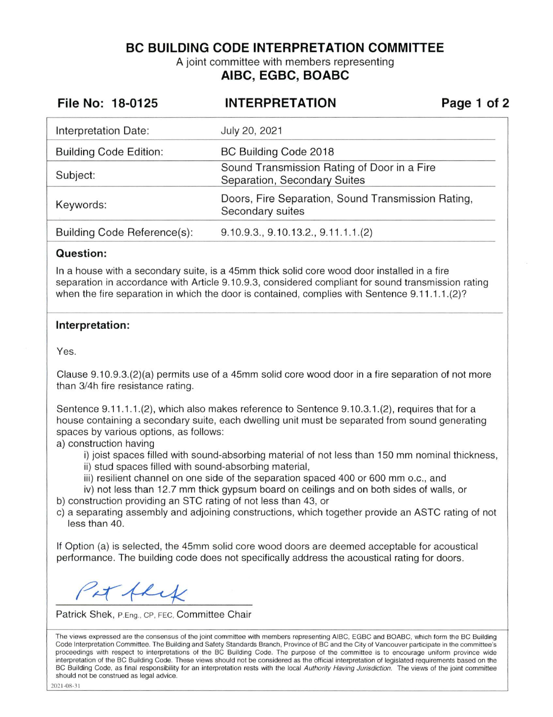**BC BUILDING CODE INTERPRETATION COMMITTEE** 

A joint committee with members representing **AIBC, EGBC, BOABC** 

| File No: 18-0125              | <b>INTERPRETATION</b>                                                       | Page 1 of 2 |
|-------------------------------|-----------------------------------------------------------------------------|-------------|
| Interpretation Date:          | July 20, 2021                                                               |             |
| <b>Building Code Edition:</b> | BC Building Code 2018                                                       |             |
| Subject:                      | Sound Transmission Rating of Door in a Fire<br>Separation, Secondary Suites |             |
| Keywords:                     | Doors, Fire Separation, Sound Transmission Rating,<br>Secondary suites      |             |
| Building Code Reference(s):   | 9.10.9.3, 9.10.13.2, 9.11.1.1(2)                                            |             |

## **Question:**

In a house with a secondary suite, is a 45mm thick solid core wood door installed in a fire separation in accordance with Article 9.10.9.3, considered compliant for sound transmission rating when the fire separation in which the door is contained, complies with Sentence 9.11.1.1.(2)?

## **Interpretation:**

Yes.

Clause 9.10.9.3.(2)(a) permits use of a 45mm solid core wood door in a fire separation of not more than 3/4h fire resistance rating.

Sentence 9.1 1.1.1.(2), which also makes reference to Sentence 9.10.3.1 .(2), requires that for a house containing a secondary suite, each dwelling unit must be separated from sound generating spaces by various options, as follows:

a) construction having

- i) joist spaces filled with sound-absorbing material of not less than 150 mm nominal thickness,
- ii) stud spaces filled with sound-absorbing material,
- iii) resilient channel on one side of the separation spaced 400 or 600 mm o.c., and

iv) not less than 12.7 mm thick gypsum board on ceilings and on both sides of walls, or b) construction providing an STC rating of not less than 43, or

c) a separating assembly and adjoining constructions, which together provide an ASTC rating of not less than 40.

If Option (a) is selected, the 45mm solid core wood doors are deemed acceptable for acoustical performance. The building code does not specifically address the acoustical rating for doors.

Pit flex

Patrick Shek, P.Eng., CP, FEC, Committee Chair

The views expressed are the consensus of the joint committee with members representing AIBC, EGBC and BOABC, which form the BC Building Code Interpretation Committee. The Building and Safety Standards Branch, Province of BC and the City of Vancouver participate in the committee's proceedings with respect to interpretations of the BC Building Code. The purpose of the committee is to encourage uniform province wide interpretation of the BC Building Code. These views should not be considered as the official interpretation of legislated requirements based on the BC Building Code, as final responsibility for an interpretation rests with the local Authority Having Jurisdiction. The views of the joint committee should not be construed as legal advice.

2021-08-3 1